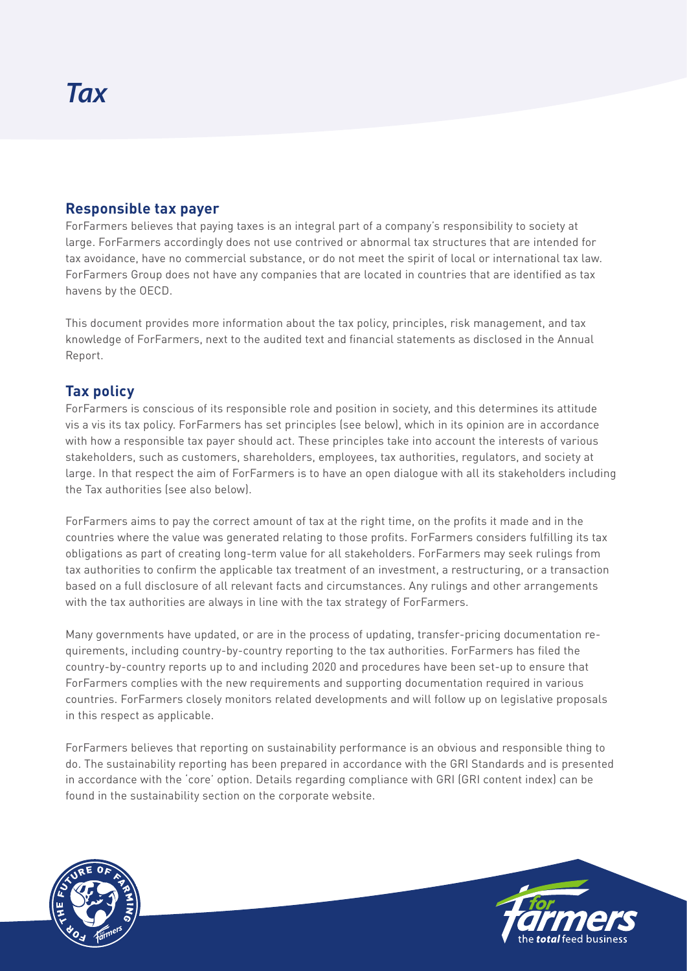## **Responsible tax payer**

ForFarmers believes that paying taxes is an integral part of a company's responsibility to society at large. ForFarmers accordingly does not use contrived or abnormal tax structures that are intended for tax avoidance, have no commercial substance, or do not meet the spirit of local or international tax law. ForFarmers Group does not have any companies that are located in countries that are identified as tax havens by the OECD.

This document provides more information about the tax policy, principles, risk management, and tax knowledge of ForFarmers, next to the audited text and financial statements as disclosed in the Annual Report.

# **Tax policy**

ForFarmers is conscious of its responsible role and position in society, and this determines its attitude vis a vis its tax policy. ForFarmers has set principles (see below), which in its opinion are in accordance with how a responsible tax payer should act. These principles take into account the interests of various stakeholders, such as customers, shareholders, employees, tax authorities, regulators, and society at large. In that respect the aim of ForFarmers is to have an open dialogue with all its stakeholders including the Tax authorities (see also below).

ForFarmers aims to pay the correct amount of tax at the right time, on the profits it made and in the countries where the value was generated relating to those profits. ForFarmers considers fulfilling its tax obligations as part of creating long-term value for all stakeholders. ForFarmers may seek rulings from tax authorities to confirm the applicable tax treatment of an investment, a restructuring, or a transaction based on a full disclosure of all relevant facts and circumstances. Any rulings and other arrangements with the tax authorities are always in line with the tax strategy of ForFarmers.

Many governments have updated, or are in the process of updating, transfer-pricing documentation requirements, including country-by-country reporting to the tax authorities. ForFarmers has filed the country-by-country reports up to and including 2020 and procedures have been set-up to ensure that ForFarmers complies with the new requirements and supporting documentation required in various countries. ForFarmers closely monitors related developments and will follow up on legislative proposals in this respect as applicable.

ForFarmers believes that reporting on sustainability performance is an obvious and responsible thing to do. The sustainability reporting has been prepared in accordance with the GRI Standards and is presented in accordance with the 'core' option. Details regarding compliance with GRI (GRI content index) can be found in the sustainability section on the corporate website.



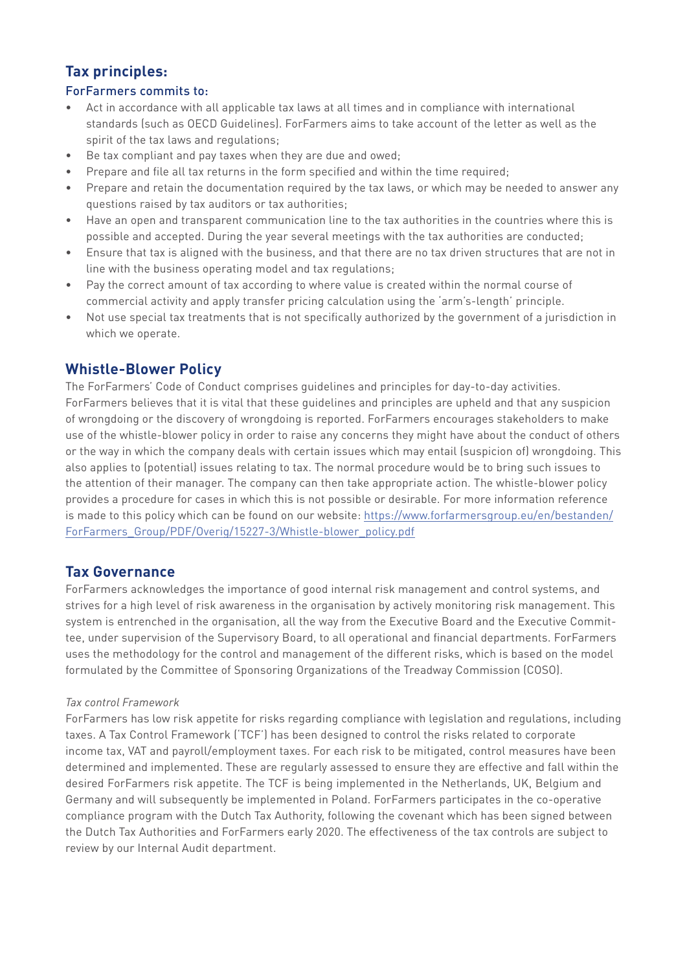# **Tax principles:**

#### ForFarmers commits to:

- Act in accordance with all applicable tax laws at all times and in compliance with international standards (such as OECD Guidelines). ForFarmers aims to take account of the letter as well as the spirit of the tax laws and regulations;
- Be tax compliant and pay taxes when they are due and owed;
- Prepare and file all tax returns in the form specified and within the time required;
- Prepare and retain the documentation required by the tax laws, or which may be needed to answer any questions raised by tax auditors or tax authorities;
- Have an open and transparent communication line to the tax authorities in the countries where this is possible and accepted. During the year several meetings with the tax authorities are conducted;
- Ensure that tax is aligned with the business, and that there are no tax driven structures that are not in line with the business operating model and tax regulations;
- Pay the correct amount of tax according to where value is created within the normal course of commercial activity and apply transfer pricing calculation using the 'arm's-length' principle.
- Not use special tax treatments that is not specifically authorized by the government of a jurisdiction in which we operate.

# **Whistle-Blower Policy**

The ForFarmers' Code of Conduct comprises guidelines and principles for day-to-day activities. ForFarmers believes that it is vital that these guidelines and principles are upheld and that any suspicion of wrongdoing or the discovery of wrongdoing is reported. ForFarmers encourages stakeholders to make use of the whistle-blower policy in order to raise any concerns they might have about the conduct of others or the way in which the company deals with certain issues which may entail (suspicion of) wrongdoing. This also applies to (potential) issues relating to tax. The normal procedure would be to bring such issues to the attention of their manager. The company can then take appropriate action. The whistle-blower policy provides a procedure for cases in which this is not possible or desirable. For more information reference is made to this policy which can be found on our website: https://www.forfarmersgroup.eu/en/bestanden/ ForFarmers\_Group/PDF/Overig/15227-3/Whistle-blower\_policy.pdf

#### **Tax Governance**

ForFarmers acknowledges the importance of good internal risk management and control systems, and strives for a high level of risk awareness in the organisation by actively monitoring risk management. This system is entrenched in the organisation, all the way from the Executive Board and the Executive Committee, under supervision of the Supervisory Board, to all operational and financial departments. ForFarmers uses the methodology for the control and management of the different risks, which is based on the model formulated by the Committee of Sponsoring Organizations of the Treadway Commission (COSO).

#### *Tax control Framework*

ForFarmers has low risk appetite for risks regarding compliance with legislation and regulations, including taxes. A Tax Control Framework ('TCF') has been designed to control the risks related to corporate income tax, VAT and payroll/employment taxes. For each risk to be mitigated, control measures have been determined and implemented. These are regularly assessed to ensure they are effective and fall within the desired ForFarmers risk appetite. The TCF is being implemented in the Netherlands, UK, Belgium and Germany and will subsequently be implemented in Poland. ForFarmers participates in the co-operative compliance program with the Dutch Tax Authority, following the covenant which has been signed between the Dutch Tax Authorities and ForFarmers early 2020. The effectiveness of the tax controls are subject to review by our Internal Audit department.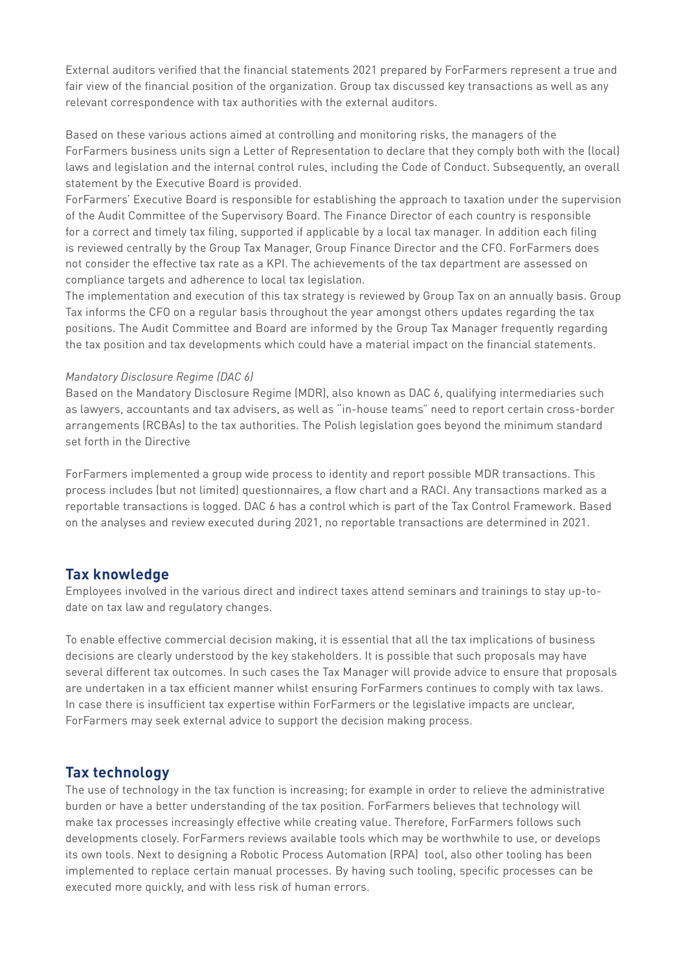External auditors verified that the financial statements 2021 prepared by ForFarmers represent a true and fair view of the financial position of the organization. Group tax discussed key transactions as well as any relevant correspondence with tax authorities with the external auditors.

Based on these various actions aimed at controlling and monitoring risks, the managers of the ForFarmers business units sign a Letter of Representation to declare that they comply both with the (local) laws and legislation and the internal control rules, including the Code of Conduct. Subsequently, an overall statement by the Executive Board is provided.

ForFarmers' Executive Board is responsible for establishing the approach to taxation under the supervision of the Audit Committee of the Supervisory Board. The Finance Director of each country is responsible for a correct and timely tax filing, supported if applicable by a local tax manager. In addition each filing is reviewed centrally by the Group Tax Manager, Group Finance Director and the CFO. ForFarmers does not consider the effective tax rate as a KPI. The achievements of the tax department are assessed on compliance targets and adherence to local tax legislation.

The implementation and execution of this tax strategy is reviewed by Group Tax on an annually basis. Group Tax informs the CFO on a regular basis throughout the year amongst others updates regarding the tax positions. The Audit Committee and Board are informed by the Group Tax Manager frequently regarding the tax position and tax developments which could have a material impact on the financial statements.

#### *Mandatory Disclosure Regime (DAC 6)*

Based on the Mandatory Disclosure Regime (MDR), also known as DAC 6, qualifying intermediaries such as lawyers, accountants and tax advisers, as well as "in-house teams" need to report certain cross-border arrangements (RCBAs) to the tax authorities. The Polish legislation goes beyond the minimum standard set forth in the Directive

ForFarmers implemented a group wide process to identity and report possible MDR transactions. This process includes (but not limited) questionnaires, a flow chart and a RACI. Any transactions marked as a reportable transactions is logged. DAC 6 has a control which is part of the Tax Control Framework. Based on the analyses and review executed during 2021, no reportable transactions are determined in 2021.

### **Tax knowledge**

Employees involved in the various direct and indirect taxes attend seminars and trainings to stay up-todate on tax law and regulatory changes.

To enable effective commercial decision making, it is essential that all the tax implications of business decisions are clearly understood by the key stakeholders. It is possible that such proposals may have several different tax outcomes. In such cases the Tax Manager will provide advice to ensure that proposals are undertaken in a tax efficient manner whilst ensuring ForFarmers continues to comply with tax laws. In case there is insufficient tax expertise within ForFarmers or the legislative impacts are unclear, ForFarmers may seek external advice to support the decision making process.

# **Tax technology**

The use of technology in the tax function is increasing; for example in order to relieve the administrative burden or have a better understanding of the tax position. ForFarmers believes that technology will make tax processes increasingly effective while creating value. Therefore, ForFarmers follows such developments closely. ForFarmers reviews available tools which may be worthwhile to use, or develops its own tools. Next to designing a Robotic Process Automation (RPA) tool, also other tooling has been implemented to replace certain manual processes. By having such tooling, specific processes can be executed more quickly, and with less risk of human errors.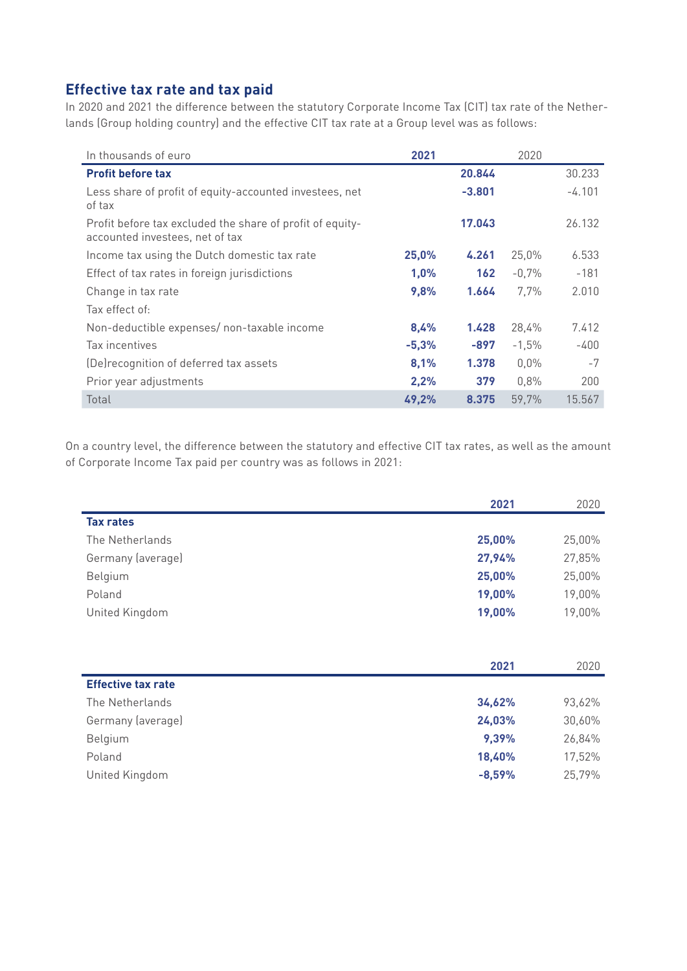# **Effective tax rate and tax paid**

In 2020 and 2021 the difference between the statutory Corporate Income Tax (CIT) tax rate of the Netherlands (Group holding country) and the effective CIT tax rate at a Group level was as follows:

| In thousands of euro                                                                         | 2021    |                  | 2020    |          |
|----------------------------------------------------------------------------------------------|---------|------------------|---------|----------|
| <b>Profit before tax</b>                                                                     |         | 20.844           |         | 30.233   |
| Less share of profit of equity-accounted investees, net<br>of tax                            |         | $-3,801$         |         | $-4.101$ |
| Profit before tax excluded the share of profit of equity-<br>accounted investees, net of tax |         | 17.043           |         | 26.132   |
| Income tax using the Dutch domestic tax rate                                                 | 25,0%   | 4.261            | 25,0%   | 6.533    |
| Effect of tax rates in foreign jurisdictions                                                 | 1,0%    | 162 <sub>1</sub> | $-0,7%$ | $-181$   |
| Change in tax rate                                                                           | 9,8%    | 1.664            | 7.7%    | 2.010    |
| Tax effect of:                                                                               |         |                  |         |          |
| Non-deductible expenses/ non-taxable income                                                  | 8,4%    | 1.428            | 28,4%   | 7.412    |
| Tax incentives                                                                               | $-5,3%$ | -897             | $-1,5%$ | $-400$   |
| (De) recognition of deferred tax assets                                                      | 8,1%    | 1.378            | $0,0\%$ | $-7$     |
| Prior year adjustments                                                                       | 2,2%    | 379              | 0.8%    | 200      |
| Total                                                                                        | 49,2%   | 8.375            | 59,7%   | 15.567   |

On a country level, the difference between the statutory and effective CIT tax rates, as well as the amount of Corporate Income Tax paid per country was as follows in 2021:

|                   | 2021   | 2020   |
|-------------------|--------|--------|
| <b>Tax rates</b>  |        |        |
| The Netherlands   | 25,00% | 25,00% |
| Germany (average) | 27,94% | 27,85% |
| Belgium           | 25,00% | 25,00% |
| Poland            | 19,00% | 19,00% |
| United Kingdom    | 19,00% | 19,00% |

|                           | 2021     | 2020   |
|---------------------------|----------|--------|
| <b>Effective tax rate</b> |          |        |
| The Netherlands           | 34,62%   | 93,62% |
| Germany (average)         | 24,03%   | 30,60% |
| Belgium                   | 9,39%    | 26,84% |
| Poland                    | 18,40%   | 17,52% |
| United Kingdom            | $-8,59%$ | 25,79% |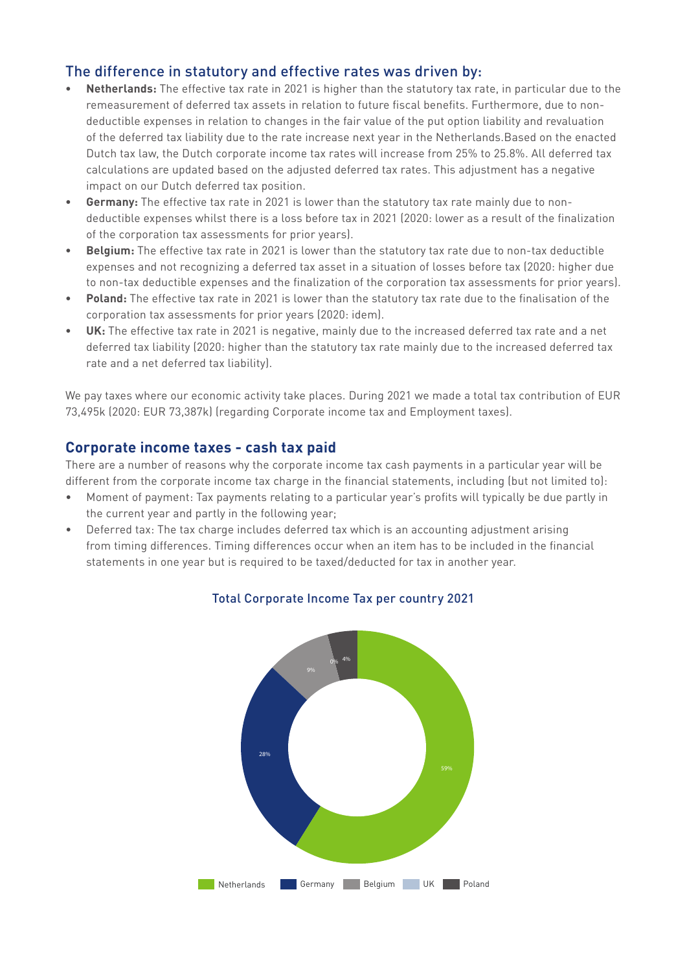## The difference in statutory and effective rates was driven by:

- **• Netherlands:** The effective tax rate in 2021 is higher than the statutory tax rate, in particular due to the remeasurement of deferred tax assets in relation to future fiscal benefits. Furthermore, due to nondeductible expenses in relation to changes in the fair value of the put option liability and revaluation of the deferred tax liability due to the rate increase next year in the Netherlands.Based on the enacted Dutch tax law, the Dutch corporate income tax rates will increase from 25% to 25.8%. All deferred tax calculations are updated based on the adjusted deferred tax rates. This adjustment has a negative impact on our Dutch deferred tax position.
- **• Germany:** The effective tax rate in 2021 is lower than the statutory tax rate mainly due to nondeductible expenses whilst there is a loss before tax in 2021 (2020: lower as a result of the finalization of the corporation tax assessments for prior years).
- **• Belgium:** The effective tax rate in 2021 is lower than the statutory tax rate due to non-tax deductible expenses and not recognizing a deferred tax asset in a situation of losses before tax (2020: higher due to non-tax deductible expenses and the finalization of the corporation tax assessments for prior years).
- **• Poland:** The effective tax rate in 2021 is lower than the statutory tax rate due to the finalisation of the corporation tax assessments for prior years (2020: idem).
- **• UK:** The effective tax rate in 2021 is negative, mainly due to the increased deferred tax rate and a net deferred tax liability (2020: higher than the statutory tax rate mainly due to the increased deferred tax rate and a net deferred tax liability).

We pay taxes where our economic activity take places. During 2021 we made a total tax contribution of EUR 73,495k (2020: EUR 73,387k) (regarding Corporate income tax and Employment taxes).

#### **Corporate income taxes - cash tax paid**

There are a number of reasons why the corporate income tax cash payments in a particular year will be different from the corporate income tax charge in the financial statements, including (but not limited to):

- Moment of payment: Tax payments relating to a particular year's profits will typically be due partly in the current year and partly in the following year;
- Deferred tax: The tax charge includes deferred tax which is an accounting adjustment arising from timing differences. Timing differences occur when an item has to be included in the financial statements in one year but is required to be taxed/deducted for tax in another year.



#### Total Corporate Income Tax per country 2021